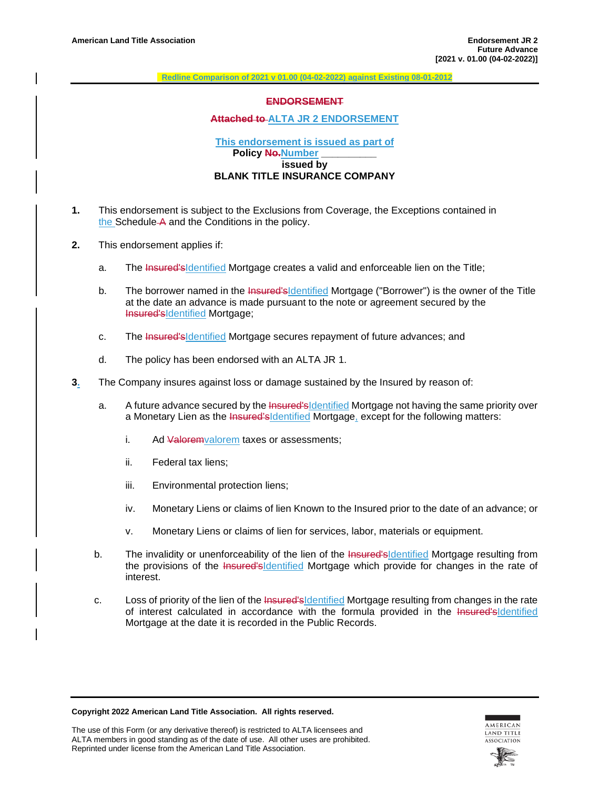**Redline Comparison of 2021 v 01.00 (04-02-2022) against Existing 08-01-2012**

### **ENDORSEMENT**

# **Attached to ALTA JR 2 ENDORSEMENT**

### **This endorsement is issued as part of Policy No.**Number **issued by BLANK TITLE INSURANCE COMPANY**

- **1.** This endorsement is subject to the Exclusions from Coverage, the Exceptions contained in the Schedule A and the Conditions in the policy.
- **2.** This endorsement applies if:
	- a. The Insured'sIdentified Mortgage creates a valid and enforceable lien on the Title;
	- b. The borrower named in the Insured's dentified Mortgage ("Borrower") is the owner of the Title at the date an advance is made pursuant to the note or agreement secured by the Insured'sIdentified Mortgage;
	- c. The Insured's dentified Mortgage secures repayment of future advances; and
	- d. The policy has been endorsed with an ALTA JR 1.
- **3.** The Company insures against loss or damage sustained by the Insured by reason of:
	- a. A future advance secured by the Insured'sIdentified Mortgage not having the same priority over a Monetary Lien as the Insured'sIdentified Mortgage, except for the following matters:
		- i. Ad Valoremvalorem taxes or assessments;
		- ii. Federal tax liens;
		- iii. Environmental protection liens;
		- iv. Monetary Liens or claims of lien Known to the Insured prior to the date of an advance; or
		- v. Monetary Liens or claims of lien for services, labor, materials or equipment.
	- b. The invalidity or unenforceability of the lien of the Insured'sIdentified Mortgage resulting from the provisions of the Insured's Identified Mortgage which provide for changes in the rate of interest.
	- c. Loss of priority of the lien of the Insured's dentified Mortgage resulting from changes in the rate of interest calculated in accordance with the formula provided in the Insured'sIdentified Mortgage at the date it is recorded in the Public Records.

**Copyright 2022 American Land Title Association. All rights reserved.**

The use of this Form (or any derivative thereof) is restricted to ALTA licensees and ALTA members in good standing as of the date of use. All other uses are prohibited. Reprinted under license from the American Land Title Association.